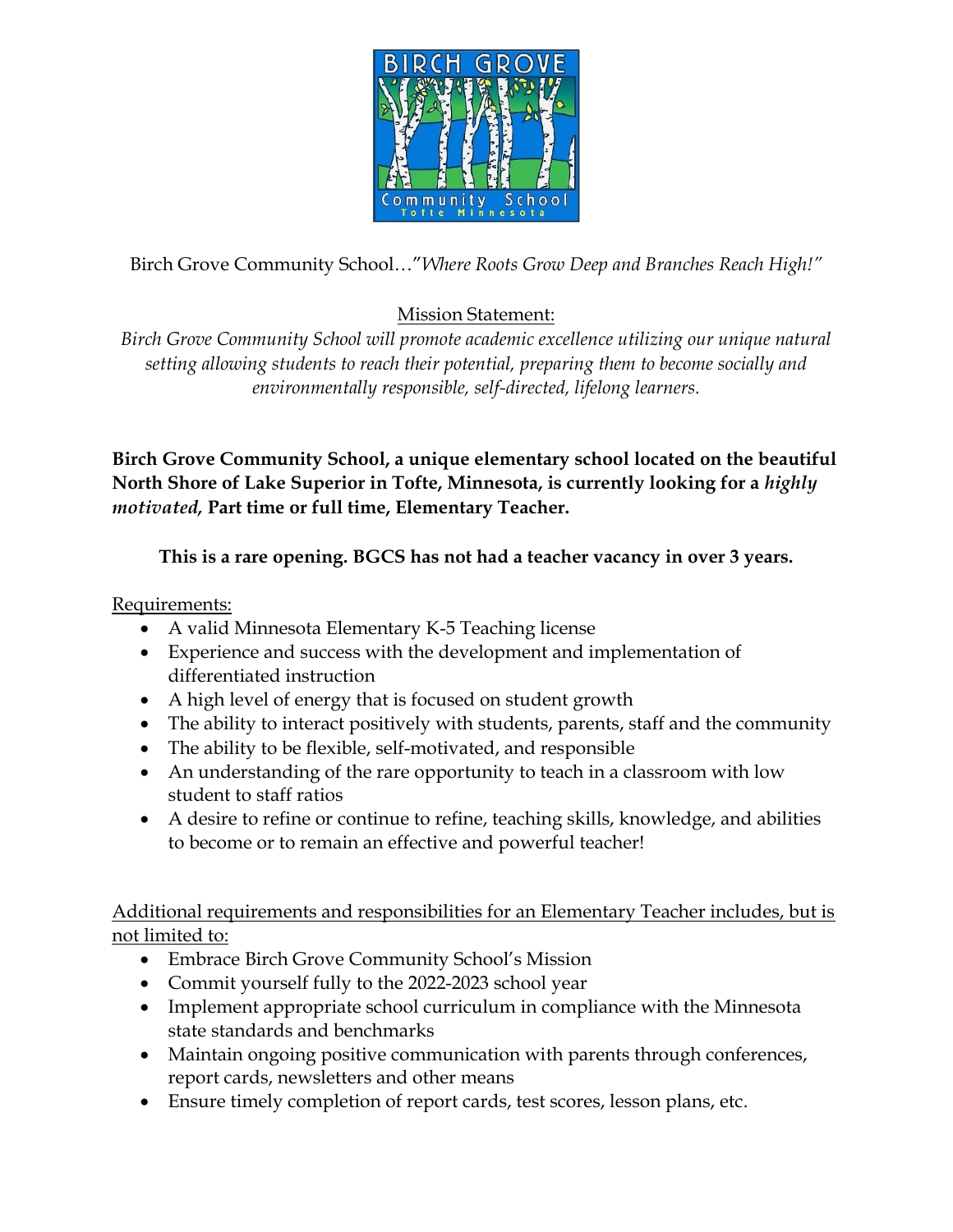

Birch Grove Community School…"*Where Roots Grow Deep and Branches Reach High!"*

## Mission Statement:

*Birch Grove Community School will promote academic excellence utilizing our unique natural setting allowing students to reach their potential, preparing them to become socially and environmentally responsible, self-directed, lifelong learners.*

**Birch Grove Community School, a unique elementary school located on the beautiful North Shore of Lake Superior in Tofte, Minnesota, is currently looking for a** *highly motivated,* **Part time or full time, Elementary Teacher.** 

**This is a rare opening. BGCS has not had a teacher vacancy in over 3 years.**

Requirements:

- A valid Minnesota Elementary K-5 Teaching license
- Experience and success with the development and implementation of differentiated instruction
- A high level of energy that is focused on student growth
- The ability to interact positively with students, parents, staff and the community
- The ability to be flexible, self-motivated, and responsible
- An understanding of the rare opportunity to teach in a classroom with low student to staff ratios
- A desire to refine or continue to refine, teaching skills, knowledge, and abilities to become or to remain an effective and powerful teacher!

Additional requirements and responsibilities for an Elementary Teacher includes, but is not limited to:

- Embrace Birch Grove Community School's Mission
- Commit yourself fully to the 2022-2023 school year
- Implement appropriate school curriculum in compliance with the Minnesota state standards and benchmarks
- Maintain ongoing positive communication with parents through conferences, report cards, newsletters and other means
- Ensure timely completion of report cards, test scores, lesson plans, etc.